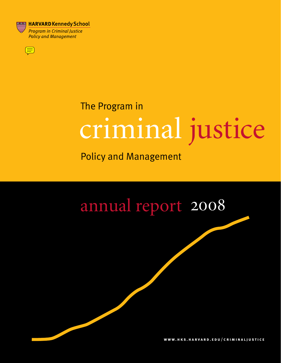

 $\textcircled{\Xi}$ 

# criminal justice The Program in

Policy and Management

# annual report 2008

**w w w . h k s . h a r v a r d . e d u / c r i m i n a l j u s t i c e**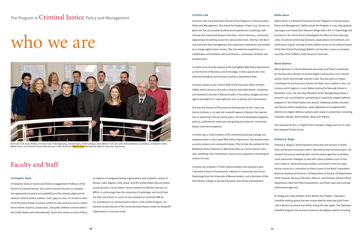The Program in Criminal Justice Policy and Management

# who we are

#### Christopher Stone

Christopher Stone is Daniel and Florence Guggenheim Professor of the Practice of Criminal Justice. His current research focuses on comparative approaches to police accountability and the internal alignment of national criminal justice systems. From 1994 to 2004, he served as director of the Vera Institute of Justice, where his own work focused on institutional reform of police, prosecution, and public defense services both in the United States and internationally. Stone also serves as chair of Altus,



*Back row (L-R): Jesse Heatley, Christine Cole, Todd Foglesong, David Hureau, Anthony Braga, Brian Welch; Front row (L-R): Marea Beeman, Guy Keeley, Christopher Stone, Baillie Aaron, Luiz Eduardo Soares; Not pictured: Frank Hartmann, Woojin Jung, Mark Moore, Malcolm Sparrow, Jing Zhang*

an alliance of nongovernmental organizations and academic centers in Russia, India, Nigeria, Chile, Brazil, and the United States that are jointly pursuing justice sector reform. Stone received his AB from Harvard, an MPhil. in criminology from the University of Cambridge, and his JD from the Yale Law School. In 2006, he was awarded an honorary OBE for his contributions to criminal justice reform in the United Kingdom. He became faculty director of the university-wide Hauser Center for Nonprofit Organizations in January 2008.

## Faculty and Staff

#### Christine Cole

izes in advancing criminal justice policy. At CJI she developed programs, policies, performance measures and guiding principles for communitybased corrections programs.

Christine Cole is the Executive Director of the Program in Criminal Justice Policy and Management. She joined the Program in April 2007. Across 20 years she has accumulated professional experiences in policing, institutional and community-based corrections, victim advocacy, community organizing and working as part of a prosecution team. She has mid-level and executive level management and supervision experience and worked as a change agent across sectors. She has extensive experience as a collaborator and facilitator with practitioners, community members and academicians. Baillie Aaron is a Research Assistant for the Program in Criminal Justice Policy and Management. Baillie joined the Program in 2007 after graduating *magna cum laude* from Harvard College with a B.A. in Psychology and Economics. Her senior thesis investigated the effect of race-crime typicality on judicial sentencing decisions, expectations of recidivism, and attributions of guilt. Outside of work, Baillie serves on the editorial board of the *New School Psychology Bulletin* and teaches a class on entrepreneurship at the Suffolk County House of Correction.

Christine most recently worked at the Springfield (MA) Police Department as the Director of Business and Technology. In that capacity she instituted technological and business solutions department wide. Christine served as the Chief of Staff at the Executive Office of Public Safety, which serves as the policy shop for law enforcement, corrections and homeland security in Massachusetts. It has policy, budget and managerial oversight of 17 state agencies and 24 boards and commissions. She was the Director of Planning and Development at the Crime and Justice Institute, a 125 year old nonprofit agency in Boston that special-Marea Beeman is a Senior Research Associate and Project Coordinator for the Executive Session on Human Rights Commissions and Criminal Justice, which runs through summer 2008. She will serve as Project Coordinator for the Executive Session for State Court Leaders in the 21st Century, which begins in 2008. Before joining the Kennedy School in November 2005, she was Vice President of The Spangenberg Group, a research and consulting firm specializing in improving indigent defense programs in the United States and abroad. Following studies overseen and reports written by Beeman, major legislative and programmatic reforms to indigent defense systems were made in jurisdictions including Colorado, Georgia, North Dakota, Texas and Virginia.

### Baillie Aaron

#### Marea Beeman

Christine was a chief architect of the community policing strategy and implementation in the Lowell (MA) Police Department. She worked there as policy advisor and community liaison. Prior to that she worked for the Middlesex District Attorney in Massachusetts as a victim witness advocate, providing crisis intervention services and supportive counseling for victims of crime. Christine has a Master in Public Administration from Harvard's John F. Kennedy School of Government, a Master in Community and Social Psychology from the University of Massachusetts, and a Bachelor of Arts from Boston College in Special Education and Human Development. Anthony A. Braga Anthony A. Braga is Senior Research Associate and Lecturer in Public Policy at Harvard University's John F. Kennedy School of Government. His research focuses on working with criminal justice agencies to develop crime prevention strategies to deal with urban problems such as firearms violence, street-level drug markets, and violent crime hot spots. He has served as a consultant on these issues to the Rand Corporation; National Academy of Sciences; US Department of Justice; US Department of the Treasury; Bureau of Alcohol, Tobacco, and Firearms; Boston Police Department; New York Police Department; and other state and local law enforcement agencies.

She received her B.A. in English from Colorado College and her J.D. from New England School of Law.

Dr. Braga was a key member of the Boston Gun Project / Operation Ceasefire working group that was responsible for reducing youth homicide in Boston by almost two-thirds during the late 1990s. The Operation Ceasefire program has received numerous prestigious awards including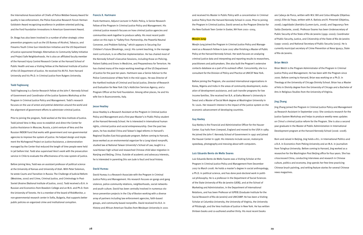the International Association of Chiefs of Police Webber-Seavey Award for quality in law enforcement, the Police Executive Research Forum Herman Goldstein Award recognizing excellence in problem-oriented policing, and the Ford Foundation Innovations in American Government Award.

Dr. Braga has also been involved in a number of other strategic crime prevention programs such as the US Bureau of Alcohol, Tobacco, and Firearms Youth Crime Gun Interdiction Initiative and the US Department of Justice-sponsored Strategic Alternatives to Community Safety Initiative and Project Safe Neighborhoods. He is also an affiliated faculty member of the Harvard Injury Control Research Center at the Harvard School of Public Health and was a Visiting Fellow at the National Institute of Justice of the US Department of Justice. He received his M.P.A. from Harvard University and his Ph.D. in Criminal Justice from Rutgers University.

#### Todd Foglesong

Todd Foglesong is a Senior Research Fellow at the John F. Kennedy School of Government and Coordinator of the Justice Systems Workshop at the Program in Criminal Justice Policy and Management. Todd's research focuses on the use of arrest and pretrial detention around the world and the alignment of government efforts to administer criminal justice.

Prior to joining the program, Todd worked at the Vera Institute of Justice. Todd joined Vera in May 2000 to establish and direct the Center for Justice Assistance in Moscow, Russia, a joint venture of Vera and the Russian INDEM Fund that works with government and non-governmental agencies to improve the system of justice. He helped design and implement the Nizhegorod Project on Justice Assistance, a demonstration managed by the Center that reduced the length of time people were held in jail before trial. Todd also supervised Vera's work with the prosecution service in Chile to evaluate the effectiveness of its new system of justice.

Before joining Vera, Todd was an assistant professor of political science at the University of Kansas and University of Utah. With Peter Solomon, he wrote Courts and Transition in Russia: The Challenge of Judicial Reform (Westview, 2000) and Crime, Criminal Justice, and Criminology in Post-Soviet Ukraine (National Institute of Justice, 2001). Todd received a B.A. in Russian and Economics from Bowdoin College and an M.A. and Ph.D. from the University of Toronto. He is a member of the board of RiskMonitor, a non-governmental research center in Sofia, Bulgaria, that supports better public policies on organized crime and institutional corruption.

#### Francis X. Hartmann

Frank Hartmann, Adjunct Lecturer in Public Policy, is Senior Research Fellow of the Program in Criminal Justice Policy and Management. His criminal justice research focuses on how criminal justice agencies and communities work together to produce safety. His most recent publication on this topic is "Safety First: Partnership, the Powerful Neutral Convener, and Problem-Solving," which appears in Securing Our Children's Future (Brookings, 2003). His current teaching, in the management curriculum, is on effective implementation. He has chaired most of the Kennedy School's Executive Sessions, including those on Policing, Patient Safety and Errors in Medicine, and Preparedness for Terrorism. He has chaired many of the major working meetings of the US Department of Justice for the past ten years. Hartmann was a Senior Advisor to the Police Commissioner of New York in the mid-1990s. He was Director of the Hartford Institute of Criminal and Social Justice, Director of Research and Evaluation for New York City's Addiction Services Agency, and a Program Officer at the Ford Foundation. Among other places, he and his wife live in Buonconvento, Italy.

#### Jesse Heatley

Jesse Heatley is a Research Assistant at the Program in Criminal Justice Policy and Management and a first-year Master's in Public Policy student at the Harvard Kennedy School. He is interested in international human rights, criminal justice and social entrepreneurship. Over the past two years, he has studied China and Taiwan's legal reforms in Harvard's Regional Studies East Asia graduate program. Before coming to Harvard, Jesse worked as an environmental organizer for a Long Island nonprofit, studied law at National Taiwan University's School of Law, taught in a rural Korean high school and researched Chinese child labor migration in Nanjing and Beijing, China. Outside of academic and advocacy interests, he is interested in parenting (his son Jude is four) and local history.

#### David Hureau

David Hureau is a Research Associate with the Program in Criminal Justice Policy and Management. His research focuses on gangs and gang violence, police-community relations, neighborhoods, social networks and youth culture. David has been centrally involved in numerous violence prevention projects in the City of Boston working with a diverse array of partners including law enforcement agencies, faith-based groups, and community-based nonprofits. David received his B.A. in History and African American Studies from Wesleyan University in 2001

Policy at the Harvard Kennedy School. Her work focuses on analyzing criminal justice data and interpreting and reporting results to researchers, practitioners and policymakers. She also built the Program's extensive contacts database as a part of its outreach effort. Concurrently, she is a consultant for the Division of Policy and Practice at UNICEF New York.

Before joining the Program, she assisted international organizations in Korea, Nigeria and India in the areas of community development, evaluation of development assistance, and cash transfer programs for low income families. She received her B.A. at Ewha Women's University in Seoul and a Master of Social Work degree at Washington University in St. Louis. Her research interest is the impact of the justice system on the economic advancement of developing countries.

### Guy Keeley

Guy Keeley is the Financial and Administrative Officer for the Hauser Center. Guy hails from Liverpool, England and moved to the USA in 1989. He joined the John F. Kennedy School of Government in 1997 and joined the Hauser Center in 1998. His interests include soccer, motorcycle speedway, photography and messing about with computers.

and received his Master in Public Policy with a concentration in Criminal Justice Policy from the Harvard Kennedy School in 2006. Prior to joining the Program in Criminal Justice, David served as the Program Director for the New Outlook Teen Center in Exeter, NH from 2001–2004. Woojin Jung Woojin Jung joined the Program in Criminal Justice Policy and Management as a Research Fellow in June 2007 after finishing a Master of Public are Cabeça de Porco, written with M.V. Bill and Celso Athayde (Objetiva: 2005); Elite da Tropa, written with A. Batista and R. Pimentel (Objetiva, 2006); Legalidade Libertária (Lumen-Juris, 2006); and Segurança Tem Saída (Sextante, 2006). Professor Soares has been Undersecretary of Public Security of the State of Rio de Janeiro (1999–2000); Coordinator of Public Security, Justice, and Citizenship of the State of Rio de Janeiro (1999–2000); and National Secretary of Public Security (2003). He is currently municipal secretary of Crime Prevention at Nova Iguaçu, State of Rio de Janeiro.

#### Luiz Eduardo Bento de Mello Soares

Luiz Eduardo Bento de Mello Soares was a Visiting Scholar at the Program in Criminal Justice Policy and Management from December 2007 to March 2008. He holds a master's degree in social anthropology, a Ph.D. in political science, and has done post-doctoral work in political philosophy. He is a professor in the Department of Social Sciences of the State University of Rio de Janeiro (UERJ), and at the School of Marketing and Administration, in the Department of International Relations, and has been Professor at IUPERJ (Graduate Institute for the Social Research of Rio de Janeiro) and UNICAMP. He has been a Visiting Scholar at Columbia University, the University of Virginia, the University of Pittsburgh, and the Vera Institute of Justice in New York. He has written thirteen books and co-authored another thirty. His most recent books

### Brian Welch

Brian Welch is the Program Administrator of the Program in Criminal Justice Policy and Management. He has been with the Program since 2000. Before coming to Harvard, Brian was working on a Ph.D. in Theology at the University of Chicago Divinity School. Brian has a Master of Arts in Divinity degree from the University of Chicago and a Bachelor of Arts in Religious Studies from the University of Virginia.

### Jing Zhang

Jing Zhang joined the Program in Criminal Justice Policy and Management as Research Assistant in September 2007. She conducts research for the Justice System Workshop and helps to produce weekly news updates on China's criminal justice reform for the Program. She is also a second year graduate in the Master of Public Administration in International Development program at the Harvard Kennedy School (2006–2008).

Born and raised in Beijing, Jing holds a B.L. in International Politics and a B.A. in Economics from Peking University and an M.A. in journalism from Tsinghua University. Before coming to Harvard, Jing worked as a researcher for the Washington Post Beijing office for four years. She has crisscrossed China, conducting interviews and research in Chinese culture, politics and economy. Jing spends her free time practicing Chinese brush painting, and writing feature stories for several Chinese news magazines.